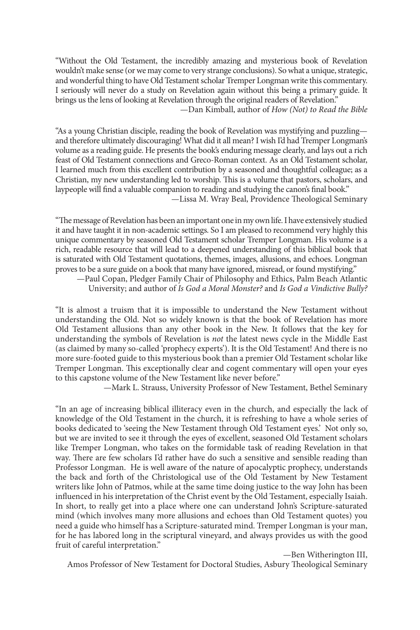"Without the Old Testament, the incredibly amazing and mysterious book of Revelation wouldn't make sense (or we may come to very strange conclusions). So what a unique, strategic, and wonderful thing to have Old Testament scholar Tremper Longman write this commentary. I seriously will never do a study on Revelation again without this being a primary guide. It brings us the lens of looking at Revelation through the original readers of Revelation." —Dan Kimball, author of *How (Not) to Read the Bible*

"As a young Christian disciple, reading the book of Revelation was mystifying and puzzling and therefore ultimately discouraging! What did it all mean? I wish I'd had Tremper Longman's volume as a reading guide. He presents the book's enduring message clearly, and lays out a rich feast of Old Testament connections and Greco-Roman context. As an Old Testament scholar, I learned much from this excellent contribution by a seasoned and thoughtful colleague; as a Christian, my new understanding led to worship. This is a volume that pastors, scholars, and laypeople will find a valuable companion to reading and studying the canon's final book."

—Lissa M. Wray Beal, Providence Theological Seminary

"The message of Revelation has been an important one in my own life. I have extensively studied it and have taught it in non-academic settings. So I am pleased to recommend very highly this unique commentary by seasoned Old Testament scholar Tremper Longman. His volume is a rich, readable resource that will lead to a deepened understanding of this biblical book that is saturated with Old Testament quotations, themes, images, allusions, and echoes. Longman proves to be a sure guide on a book that many have ignored, misread, or found mystifying."

—Paul Copan, Pledger Family Chair of Philosophy and Ethics, Palm Beach Atlantic University; and author of *Is God a Moral Monster?* and *Is God a Vindictive Bully?*

"It is almost a truism that it is impossible to understand the New Testament without understanding the Old. Not so widely known is that the book of Revelation has more Old Testament allusions than any other book in the New. It follows that the key for understanding the symbols of Revelation is *not* the latest news cycle in the Middle East (as claimed by many so-called 'prophecy experts'). It is the Old Testament! And there is no more sure-footed guide to this mysterious book than a premier Old Testament scholar like Tremper Longman. This exceptionally clear and cogent commentary will open your eyes to this capstone volume of the New Testament like never before."

—Mark L. Strauss, University Professor of New Testament, Bethel Seminary

"In an age of increasing biblical illiteracy even in the church, and especially the lack of knowledge of the Old Testament in the church, it is refreshing to have a whole series of books dedicated to 'seeing the New Testament through Old Testament eyes.' Not only so, but we are invited to see it through the eyes of excellent, seasoned Old Testament scholars like Tremper Longman, who takes on the formidable task of reading Revelation in that way. There are few scholars I'd rather have do such a sensitive and sensible reading than Professor Longman. He is well aware of the nature of apocalyptic prophecy, understands the back and forth of the Christological use of the Old Testament by New Testament writers like John of Patmos, while at the same time doing justice to the way John has been influenced in his interpretation of the Christ event by the Old Testament, especially Isaiah. In short, to really get into a place where one can understand John's Scripture-saturated mind (which involves many more allusions and echoes than Old Testament quotes) you need a guide who himself has a Scripture-saturated mind. Tremper Longman is your man, for he has labored long in the scriptural vineyard, and always provides us with the good fruit of careful interpretation."

—Ben Witherington III,

Amos Professor of New Testament for Doctoral Studies, Asbury Theological Seminary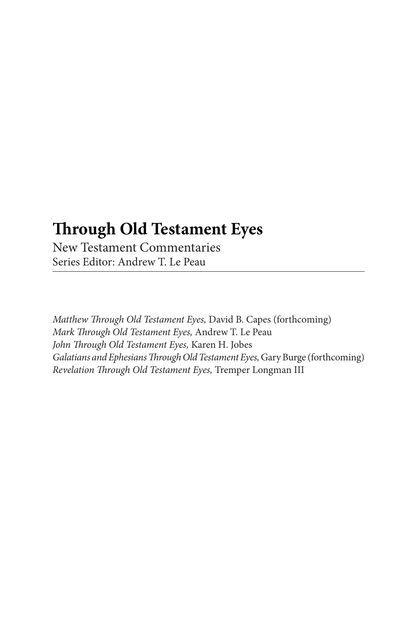### **Through Old Testament Eyes**

New Testament Commentaries Series Editor: Andrew T. Le Peau

*Matthew Through Old Testament Eyes,* David B. Capes (forthcoming) *Mark Through Old Testament Eyes,* Andrew T. Le Peau *John Through Old Testament Eyes,* Karen H. Jobes *Galatians and Ephesians Through Old Testament Eyes,* Gary Burge (forthcoming) *Revelation Through Old Testament Eyes,* Tremper Longman III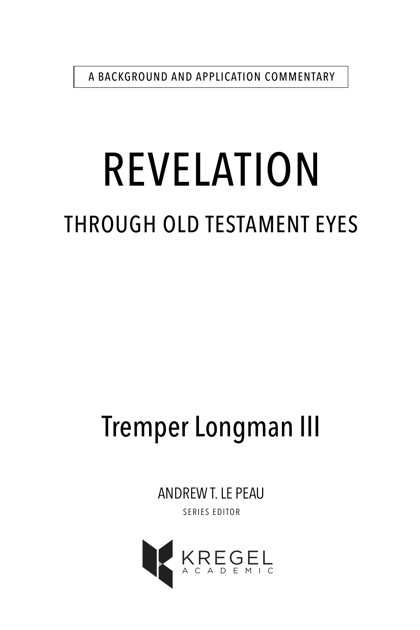A BACKGROUND AND APPLICATION COMMENTARY

# REVELATION THROUGH OLD TESTAMENT EYES

# Tremper Longman III

ANDREW T. LE PEAU SERIES EDITOR

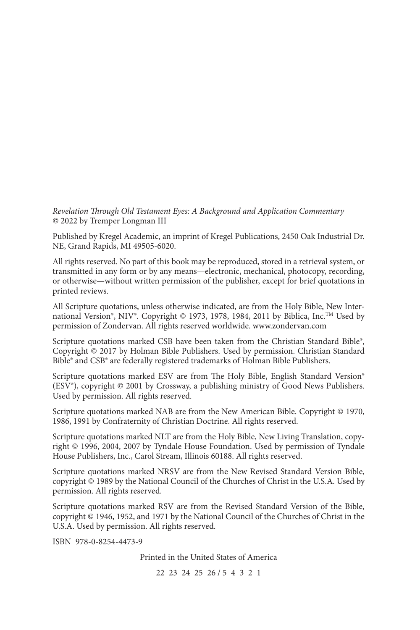*Revelation Through Old Testament Eyes: A Background and Application Commentary* © 2022 by Tremper Longman III

Published by Kregel Academic, an imprint of Kregel Publications, 2450 Oak Industrial Dr. NE, Grand Rapids, MI 49505-6020.

All rights reserved. No part of this book may be reproduced, stored in a retrieval system, or transmitted in any form or by any means—electronic, mechanical, photocopy, recording, or otherwise—without written permission of the publisher, except for brief quotations in printed reviews.

All Scripture quotations, unless otherwise indicated, are from the Holy Bible, New International Version®, NIV®. Copyright © 1973, 1978, 1984, 2011 by Biblica, Inc.<sup>™</sup> Used by permission of Zondervan. All rights reserved worldwide. www.zondervan.com

Scripture quotations marked CSB have been taken from the Christian Standard Bible®, Copyright © 2017 by Holman Bible Publishers. Used by permission. Christian Standard Bible® and CSB® are federally registered trademarks of Holman Bible Publishers.

Scripture quotations marked ESV are from The Holy Bible, English Standard Version® (ESV®), copyright © 2001 by Crossway, a publishing ministry of Good News Publishers. Used by permission. All rights reserved.

Scripture quotations marked NAB are from the New American Bible. Copyright © 1970, 1986, 1991 by Confraternity of Christian Doctrine. All rights reserved.

Scripture quotations marked NLT are from the Holy Bible, New Living Translation, copyright © 1996, 2004, 2007 by Tyndale House Foundation. Used by permission of Tyndale House Publishers, Inc., Carol Stream, Illinois 60188. All rights reserved.

Scripture quotations marked NRSV are from the New Revised Standard Version Bible, copyright © 1989 by the National Council of the Churches of Christ in the U.S.A. Used by permission. All rights reserved.

Scripture quotations marked RSV are from the Revised Standard Version of the Bible, copyright © 1946, 1952, and 1971 by the National Council of the Churches of Christ in the U.S.A. Used by permission. All rights reserved.

ISBN 978-0-8254-4473-9

Printed in the United States of America

22 23 24 25 26 / 5 4 3 2 1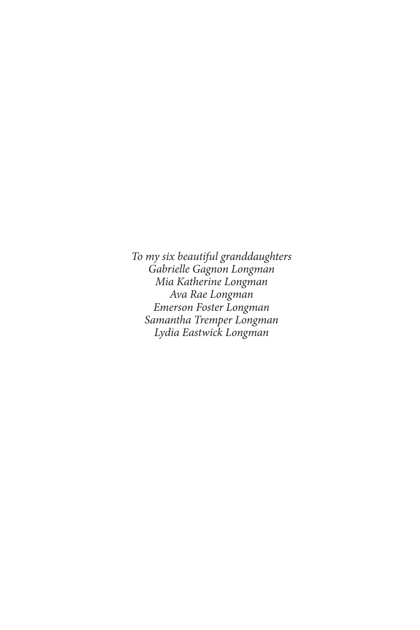*To my six beautiful granddaughters Gabrielle Gagnon Longman Mia Katherine Longman Ava Rae Longman Emerson Foster Longman Samantha Tremper Longman Lydia Eastwick Longman*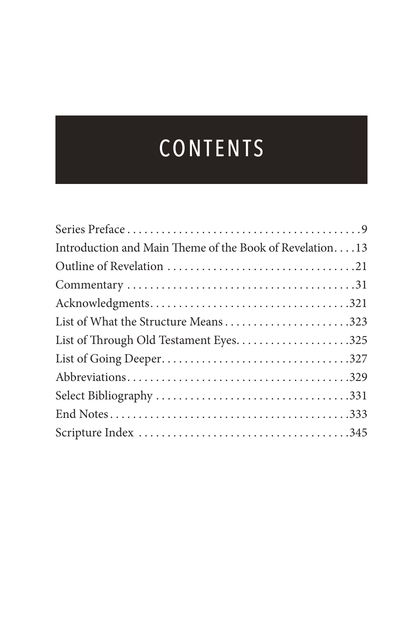# CONTENTS

| Introduction and Main Theme of the Book of Revelation13 |
|---------------------------------------------------------|
|                                                         |
|                                                         |
|                                                         |
| List of What the Structure Means323                     |
|                                                         |
|                                                         |
|                                                         |
|                                                         |
|                                                         |
|                                                         |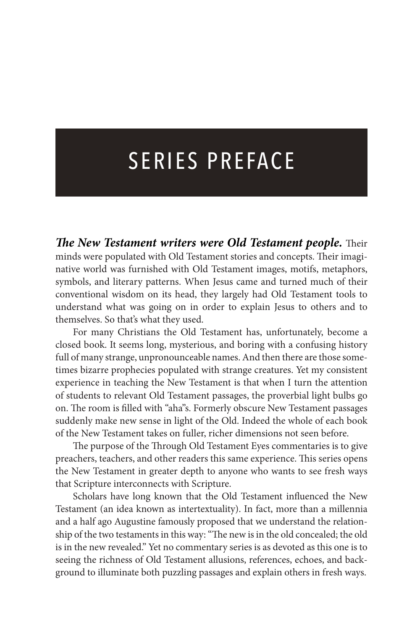# SERIES PREFACE

*The New Testament writers were Old Testament people.* Their minds were populated with Old Testament stories and concepts. Their imaginative world was furnished with Old Testament images, motifs, metaphors, symbols, and literary patterns. When Jesus came and turned much of their conventional wisdom on its head, they largely had Old Testament tools to understand what was going on in order to explain Jesus to others and to themselves. So that's what they used.

For many Christians the Old Testament has, unfortunately, become a closed book. It seems long, mysterious, and boring with a confusing history full of many strange, unpronounceable names. And then there are those sometimes bizarre prophecies populated with strange creatures. Yet my consistent experience in teaching the New Testament is that when I turn the attention of students to relevant Old Testament passages, the proverbial light bulbs go on. The room is filled with "aha"s. Formerly obscure New Testament passages suddenly make new sense in light of the Old. Indeed the whole of each book of the New Testament takes on fuller, richer dimensions not seen before.

The purpose of the Through Old Testament Eyes commentaries is to give preachers, teachers, and other readers this same experience. This series opens the New Testament in greater depth to anyone who wants to see fresh ways that Scripture interconnects with Scripture.

Scholars have long known that the Old Testament influenced the New Testament (an idea known as intertextuality). In fact, more than a millennia and a half ago Augustine famously proposed that we understand the relationship of the two testaments in this way: "The new is in the old concealed; the old is in the new revealed." Yet no commentary series is as devoted as this one is to seeing the richness of Old Testament allusions, references, echoes, and background to illuminate both puzzling passages and explain others in fresh ways.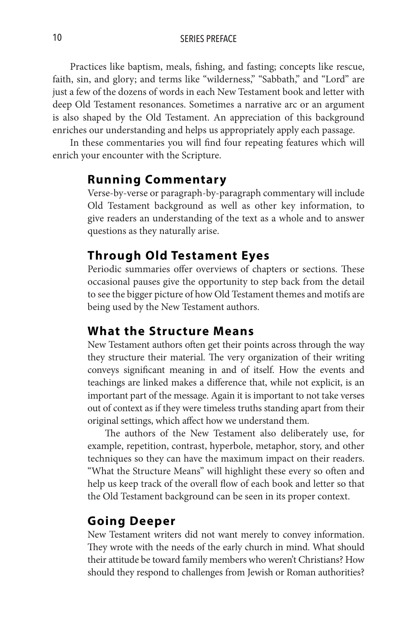10 SERIES PREFACE

Practices like baptism, meals, fishing, and fasting; concepts like rescue, faith, sin, and glory; and terms like "wilderness," "Sabbath," and "Lord" are just a few of the dozens of words in each New Testament book and letter with deep Old Testament resonances. Sometimes a narrative arc or an argument is also shaped by the Old Testament. An appreciation of this background enriches our understanding and helps us appropriately apply each passage.

In these commentaries you will find four repeating features which will enrich your encounter with the Scripture.

#### **Running Commentary**

Verse-by-verse or paragraph-by-paragraph commentary will include Old Testament background as well as other key information, to give readers an understanding of the text as a whole and to answer questions as they naturally arise.

#### **Through Old Testament Eyes**

Periodic summaries offer overviews of chapters or sections. These occasional pauses give the opportunity to step back from the detail to see the bigger picture of how Old Testament themes and motifs are being used by the New Testament authors.

#### **What the Structure Means**

New Testament authors often get their points across through the way they structure their material. The very organization of their writing conveys significant meaning in and of itself. How the events and teachings are linked makes a difference that, while not explicit, is an important part of the message. Again it is important to not take verses out of context as if they were timeless truths standing apart from their original settings, which affect how we understand them.

The authors of the New Testament also deliberately use, for example, repetition, contrast, hyperbole, metaphor, story, and other techniques so they can have the maximum impact on their readers. "What the Structure Means" will highlight these every so often and help us keep track of the overall flow of each book and letter so that the Old Testament background can be seen in its proper context.

#### **Going Deeper**

New Testament writers did not want merely to convey information. They wrote with the needs of the early church in mind. What should their attitude be toward family members who weren't Christians? How should they respond to challenges from Jewish or Roman authorities?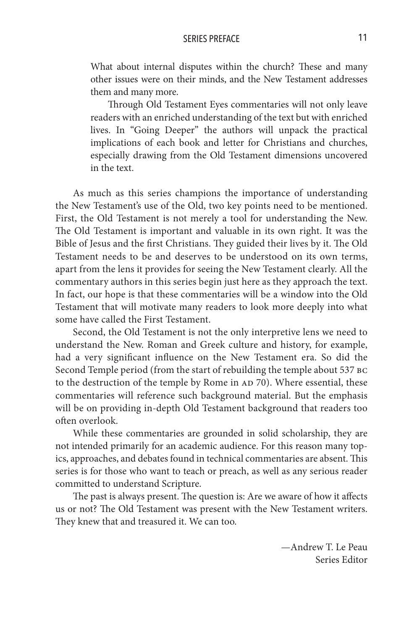#### SERIES PREFACE 11

What about internal disputes within the church? These and many other issues were on their minds, and the New Testament addresses them and many more.

Through Old Testament Eyes commentaries will not only leave readers with an enriched understanding of the text but with enriched lives. In "Going Deeper" the authors will unpack the practical implications of each book and letter for Christians and churches, especially drawing from the Old Testament dimensions uncovered in the text.

As much as this series champions the importance of understanding the New Testament's use of the Old, two key points need to be mentioned. First, the Old Testament is not merely a tool for understanding the New. The Old Testament is important and valuable in its own right. It was the Bible of Jesus and the first Christians. They guided their lives by it. The Old Testament needs to be and deserves to be understood on its own terms, apart from the lens it provides for seeing the New Testament clearly. All the commentary authors in this series begin just here as they approach the text. In fact, our hope is that these commentaries will be a window into the Old Testament that will motivate many readers to look more deeply into what some have called the First Testament.

Second, the Old Testament is not the only interpretive lens we need to understand the New. Roman and Greek culture and history, for example, had a very significant influence on the New Testament era. So did the Second Temple period (from the start of rebuilding the temple about 537 bc to the destruction of the temple by Rome in AD 70). Where essential, these commentaries will reference such background material. But the emphasis will be on providing in-depth Old Testament background that readers too often overlook.

While these commentaries are grounded in solid scholarship, they are not intended primarily for an academic audience. For this reason many topics, approaches, and debates found in technical commentaries are absent. This series is for those who want to teach or preach, as well as any serious reader committed to understand Scripture.

The past is always present. The question is: Are we aware of how it affects us or not? The Old Testament was present with the New Testament writers. They knew that and treasured it. We can too.

> —Andrew T. Le Peau Series Editor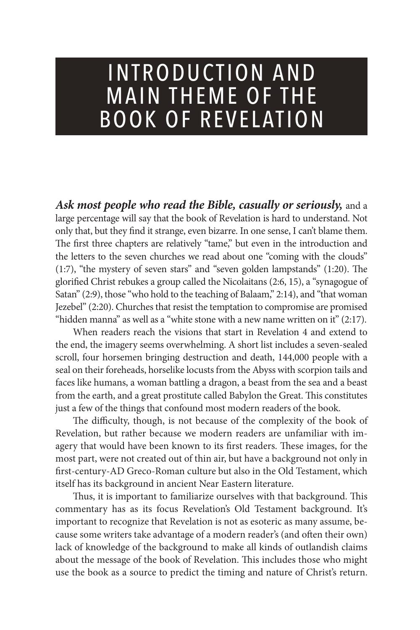### INTRODUCTION AND **MAIN THEME OF THE** BOOK OF REVELATION

*Ask most people who read the Bible, casually or seriously,* and a large percentage will say that the book of Revelation is hard to understand. Not only that, but they find it strange, even bizarre. In one sense, I can't blame them. The first three chapters are relatively "tame," but even in the introduction and the letters to the seven churches we read about one "coming with the clouds" (1:7), "the mystery of seven stars" and "seven golden lampstands" (1:20). The glorified Christ rebukes a group called the Nicolaitans (2:6, 15), a "synagogue of Satan" (2:9), those "who hold to the teaching of Balaam," 2:14), and "that woman Jezebel" (2:20). Churches that resist the temptation to compromise are promised "hidden manna" as well as a "white stone with a new name written on it" (2:17).

When readers reach the visions that start in Revelation 4 and extend to the end, the imagery seems overwhelming. A short list includes a seven-sealed scroll, four horsemen bringing destruction and death, 144,000 people with a seal on their foreheads, horselike locusts from the Abyss with scorpion tails and faces like humans, a woman battling a dragon, a beast from the sea and a beast from the earth, and a great prostitute called Babylon the Great. This constitutes just a few of the things that confound most modern readers of the book.

The difficulty, though, is not because of the complexity of the book of Revelation, but rather because we modern readers are unfamiliar with imagery that would have been known to its first readers. These images, for the most part, were not created out of thin air, but have a background not only in first-century-AD Greco-Roman culture but also in the Old Testament, which itself has its background in ancient Near Eastern literature.

Thus, it is important to familiarize ourselves with that background. This commentary has as its focus Revelation's Old Testament background. It's important to recognize that Revelation is not as esoteric as many assume, because some writers take advantage of a modern reader's (and often their own) lack of knowledge of the background to make all kinds of outlandish claims about the message of the book of Revelation. This includes those who might use the book as a source to predict the timing and nature of Christ's return.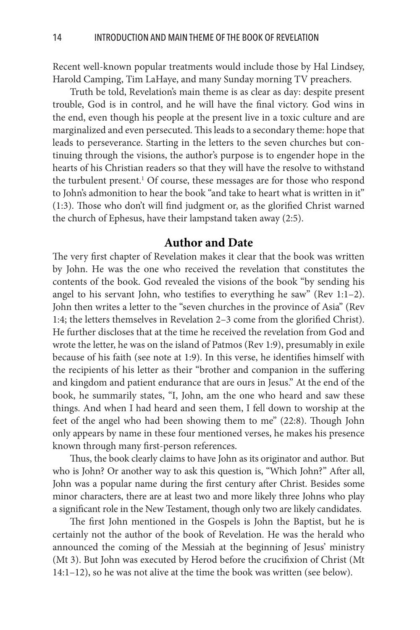Recent well-known popular treatments would include those by Hal Lindsey, Harold Camping, Tim LaHaye, and many Sunday morning TV preachers.

Truth be told, Revelation's main theme is as clear as day: despite present trouble, God is in control, and he will have the final victory. God wins in the end, even though his people at the present live in a toxic culture and are marginalized and even persecuted. This leads to a secondary theme: hope that leads to perseverance. Starting in the letters to the seven churches but continuing through the visions, the author's purpose is to engender hope in the hearts of his Christian readers so that they will have the resolve to withstand the turbulent present.<sup>1</sup> Of course, these messages are for those who respond to John's admonition to hear the book "and take to heart what is written in it" (1:3). Those who don't will find judgment or, as the glorified Christ warned the church of Ephesus, have their lampstand taken away (2:5).

#### **Author and Date**

The very first chapter of Revelation makes it clear that the book was written by John. He was the one who received the revelation that constitutes the contents of the book. God revealed the visions of the book "by sending his angel to his servant John, who testifies to everything he saw" (Rev 1:1–2). John then writes a letter to the "seven churches in the province of Asia" (Rev 1:4; the letters themselves in Revelation 2–3 come from the glorified Christ). He further discloses that at the time he received the revelation from God and wrote the letter, he was on the island of Patmos (Rev 1:9), presumably in exile because of his faith (see note at 1:9). In this verse, he identifies himself with the recipients of his letter as their "brother and companion in the suffering and kingdom and patient endurance that are ours in Jesus." At the end of the book, he summarily states, "I, John, am the one who heard and saw these things. And when I had heard and seen them, I fell down to worship at the feet of the angel who had been showing them to me" (22:8). Though John only appears by name in these four mentioned verses, he makes his presence known through many first-person references.

Thus, the book clearly claims to have John as its originator and author. But who is John? Or another way to ask this question is, "Which John?" After all, John was a popular name during the first century after Christ. Besides some minor characters, there are at least two and more likely three Johns who play a significant role in the New Testament, though only two are likely candidates.

The first John mentioned in the Gospels is John the Baptist, but he is certainly not the author of the book of Revelation. He was the herald who announced the coming of the Messiah at the beginning of Jesus' ministry (Mt 3). But John was executed by Herod before the crucifixion of Christ (Mt 14:1–12), so he was not alive at the time the book was written (see below).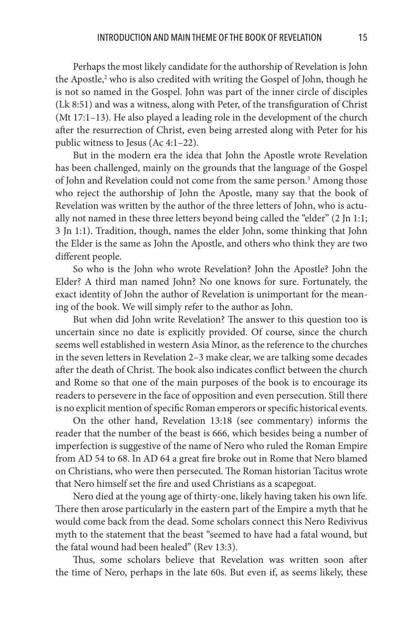Perhaps the most likely candidate for the authorship of Revelation is John the Apostle,<sup>2</sup> who is also credited with writing the Gospel of John, though he is not so named in the Gospel. John was part of the inner circle of disciples (Lk 8:51) and was a witness, along with Peter, of the transfiguration of Christ (Mt 17:1–13). He also played a leading role in the development of the church after the resurrection of Christ, even being arrested along with Peter for his public witness to Jesus (Ac 4:1–22).

But in the modern era the idea that John the Apostle wrote Revelation has been challenged, mainly on the grounds that the language of the Gospel of John and Revelation could not come from the same person.<sup>3</sup> Among those who reject the authorship of John the Apostle, many say that the book of Revelation was written by the author of the three letters of John, who is actually not named in these three letters beyond being called the "elder" (2 Jn 1:1; 3 Jn 1:1). Tradition, though, names the elder John, some thinking that John the Elder is the same as John the Apostle, and others who think they are two different people.

So who is the John who wrote Revelation? John the Apostle? John the Elder? A third man named John? No one knows for sure. Fortunately, the exact identity of John the author of Revelation is unimportant for the meaning of the book. We will simply refer to the author as John.

But when did John write Revelation? The answer to this question too is uncertain since no date is explicitly provided. Of course, since the church seems well established in western Asia Minor, as the reference to the churches in the seven letters in Revelation 2–3 make clear, we are talking some decades after the death of Christ. The book also indicates conflict between the church and Rome so that one of the main purposes of the book is to encourage its readers to persevere in the face of opposition and even persecution. Still there is no explicit mention of specific Roman emperors or specific historical events.

On the other hand, Revelation 13:18 (see commentary) informs the reader that the number of the beast is 666, which besides being a number of imperfection is suggestive of the name of Nero who ruled the Roman Empire from AD 54 to 68. In AD 64 a great fire broke out in Rome that Nero blamed on Christians, who were then persecuted. The Roman historian Tacitus wrote that Nero himself set the fire and used Christians as a scapegoat.

Nero died at the young age of thirty-one, likely having taken his own life. There then arose particularly in the eastern part of the Empire a myth that he would come back from the dead. Some scholars connect this Nero Redivivus myth to the statement that the beast "seemed to have had a fatal wound, but the fatal wound had been healed" (Rev 13:3).

Thus, some scholars believe that Revelation was written soon after the time of Nero, perhaps in the late 60s. But even if, as seems likely, these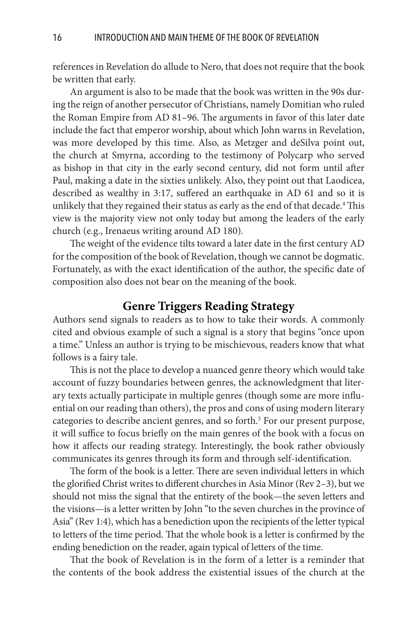references in Revelation do allude to Nero, that does not require that the book be written that early.

An argument is also to be made that the book was written in the 90s during the reign of another persecutor of Christians, namely Domitian who ruled the Roman Empire from AD 81–96. The arguments in favor of this later date include the fact that emperor worship, about which John warns in Revelation, was more developed by this time. Also, as Metzger and deSilva point out, the church at Smyrna, according to the testimony of Polycarp who served as bishop in that city in the early second century, did not form until after Paul, making a date in the sixties unlikely. Also, they point out that Laodicea, described as wealthy in 3:17, suffered an earthquake in AD 61 and so it is unlikely that they regained their status as early as the end of that decade.<sup>4</sup> This view is the majority view not only today but among the leaders of the early church (e.g., Irenaeus writing around AD 180).

The weight of the evidence tilts toward a later date in the first century AD for the composition of the book of Revelation, though we cannot be dogmatic. Fortunately, as with the exact identification of the author, the specific date of composition also does not bear on the meaning of the book.

#### **Genre Triggers Reading Strategy**

Authors send signals to readers as to how to take their words. A commonly cited and obvious example of such a signal is a story that begins "once upon a time." Unless an author is trying to be mischievous, readers know that what follows is a fairy tale.

This is not the place to develop a nuanced genre theory which would take account of fuzzy boundaries between genres, the acknowledgment that literary texts actually participate in multiple genres (though some are more influential on our reading than others), the pros and cons of using modern literary categories to describe ancient genres, and so forth.<sup>5</sup> For our present purpose, it will suffice to focus briefly on the main genres of the book with a focus on how it affects our reading strategy. Interestingly, the book rather obviously communicates its genres through its form and through self-identification.

The form of the book is a letter. There are seven individual letters in which the glorified Christ writes to different churches in Asia Minor (Rev 2–3), but we should not miss the signal that the entirety of the book—the seven letters and the visions—is a letter written by John "to the seven churches in the province of Asia" (Rev 1:4), which has a benediction upon the recipients of the letter typical to letters of the time period. That the whole book is a letter is confirmed by the ending benediction on the reader, again typical of letters of the time.

That the book of Revelation is in the form of a letter is a reminder that the contents of the book address the existential issues of the church at the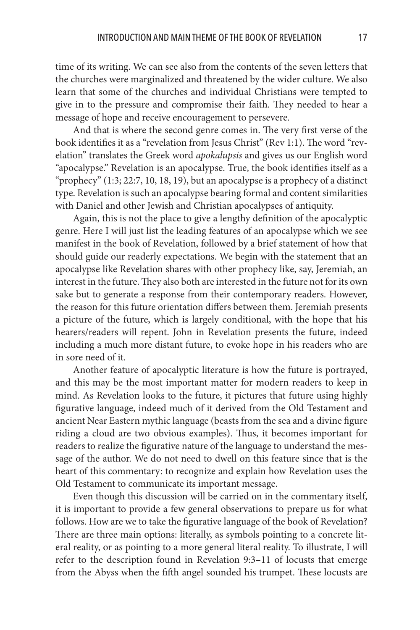time of its writing. We can see also from the contents of the seven letters that the churches were marginalized and threatened by the wider culture. We also learn that some of the churches and individual Christians were tempted to give in to the pressure and compromise their faith. They needed to hear a message of hope and receive encouragement to persevere.

And that is where the second genre comes in. The very first verse of the book identifies it as a "revelation from Jesus Christ" (Rev 1:1). The word "revelation" translates the Greek word *apokalupsis* and gives us our English word "apocalypse." Revelation is an apocalypse. True, the book identifies itself as a "prophecy" (1:3; 22:7, 10, 18, 19), but an apocalypse is a prophecy of a distinct type. Revelation is such an apocalypse bearing formal and content similarities with Daniel and other Jewish and Christian apocalypses of antiquity.

Again, this is not the place to give a lengthy definition of the apocalyptic genre. Here I will just list the leading features of an apocalypse which we see manifest in the book of Revelation, followed by a brief statement of how that should guide our readerly expectations. We begin with the statement that an apocalypse like Revelation shares with other prophecy like, say, Jeremiah, an interest in the future. They also both are interested in the future not for its own sake but to generate a response from their contemporary readers. However, the reason for this future orientation differs between them. Jeremiah presents a picture of the future, which is largely conditional, with the hope that his hearers/readers will repent. John in Revelation presents the future, indeed including a much more distant future, to evoke hope in his readers who are in sore need of it.

Another feature of apocalyptic literature is how the future is portrayed, and this may be the most important matter for modern readers to keep in mind. As Revelation looks to the future, it pictures that future using highly figurative language, indeed much of it derived from the Old Testament and ancient Near Eastern mythic language (beasts from the sea and a divine figure riding a cloud are two obvious examples). Thus, it becomes important for readers to realize the figurative nature of the language to understand the message of the author. We do not need to dwell on this feature since that is the heart of this commentary: to recognize and explain how Revelation uses the Old Testament to communicate its important message.

Even though this discussion will be carried on in the commentary itself, it is important to provide a few general observations to prepare us for what follows. How are we to take the figurative language of the book of Revelation? There are three main options: literally, as symbols pointing to a concrete literal reality, or as pointing to a more general literal reality. To illustrate, I will refer to the description found in Revelation 9:3–11 of locusts that emerge from the Abyss when the fifth angel sounded his trumpet. These locusts are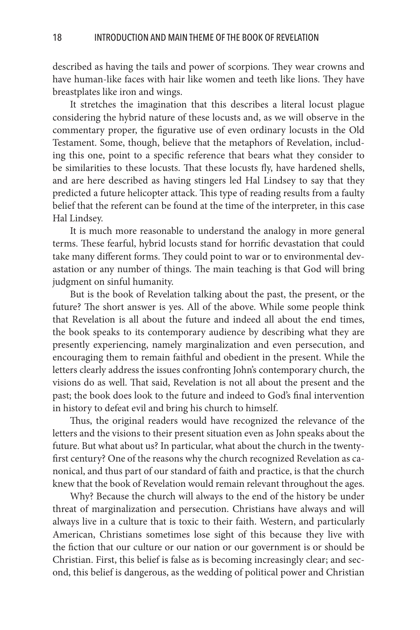described as having the tails and power of scorpions. They wear crowns and have human-like faces with hair like women and teeth like lions. They have breastplates like iron and wings.

It stretches the imagination that this describes a literal locust plague considering the hybrid nature of these locusts and, as we will observe in the commentary proper, the figurative use of even ordinary locusts in the Old Testament. Some, though, believe that the metaphors of Revelation, including this one, point to a specific reference that bears what they consider to be similarities to these locusts. That these locusts fly, have hardened shells, and are here described as having stingers led Hal Lindsey to say that they predicted a future helicopter attack. This type of reading results from a faulty belief that the referent can be found at the time of the interpreter, in this case Hal Lindsey.

It is much more reasonable to understand the analogy in more general terms. These fearful, hybrid locusts stand for horrific devastation that could take many different forms. They could point to war or to environmental devastation or any number of things. The main teaching is that God will bring judgment on sinful humanity.

But is the book of Revelation talking about the past, the present, or the future? The short answer is yes. All of the above. While some people think that Revelation is all about the future and indeed all about the end times, the book speaks to its contemporary audience by describing what they are presently experiencing, namely marginalization and even persecution, and encouraging them to remain faithful and obedient in the present. While the letters clearly address the issues confronting John's contemporary church, the visions do as well. That said, Revelation is not all about the present and the past; the book does look to the future and indeed to God's final intervention in history to defeat evil and bring his church to himself.

Thus, the original readers would have recognized the relevance of the letters and the visions to their present situation even as John speaks about the future. But what about us? In particular, what about the church in the twentyfirst century? One of the reasons why the church recognized Revelation as canonical, and thus part of our standard of faith and practice, is that the church knew that the book of Revelation would remain relevant throughout the ages.

Why? Because the church will always to the end of the history be under threat of marginalization and persecution. Christians have always and will always live in a culture that is toxic to their faith. Western, and particularly American, Christians sometimes lose sight of this because they live with the fiction that our culture or our nation or our government is or should be Christian. First, this belief is false as is becoming increasingly clear; and second, this belief is dangerous, as the wedding of political power and Christian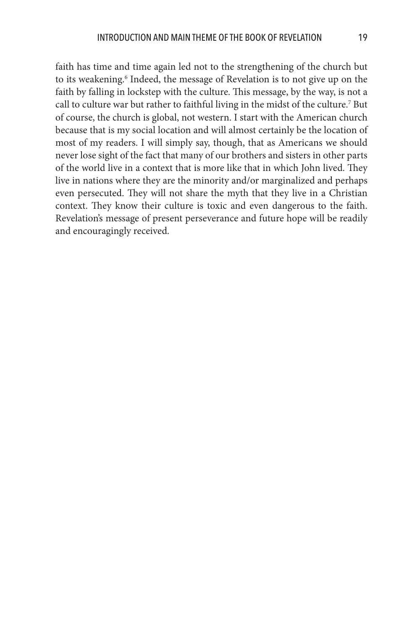faith has time and time again led not to the strengthening of the church but to its weakening.<sup>6</sup> Indeed, the message of Revelation is to not give up on the faith by falling in lockstep with the culture. This message, by the way, is not a call to culture war but rather to faithful living in the midst of the culture.<sup>7</sup> But of course, the church is global, not western. I start with the American church because that is my social location and will almost certainly be the location of most of my readers. I will simply say, though, that as Americans we should never lose sight of the fact that many of our brothers and sisters in other parts of the world live in a context that is more like that in which John lived. They live in nations where they are the minority and/or marginalized and perhaps even persecuted. They will not share the myth that they live in a Christian context. They know their culture is toxic and even dangerous to the faith. Revelation's message of present perseverance and future hope will be readily and encouragingly received.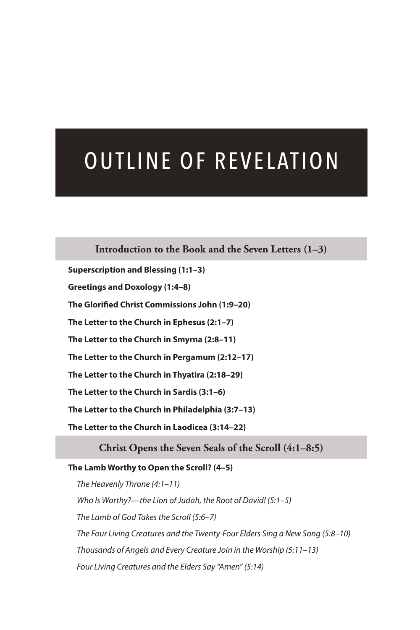## OUTLINE OF REVELATION

#### **Introduction to the Book and the Seven Letters (1–3)**

**Superscription and Blessing (1:1–3) Greetings and Doxology (1:4–8) The Glorified Christ Commissions John (1:9–20) The Letter to the Church in Ephesus (2:1–7) The Letter to the Church in Smyrna (2:8–11) The Letter to the Church in Pergamum (2:12–17) The Letter to the Church in Thyatira (2:18–29) The Letter to the Church in Sardis (3:1–6) The Letter to the Church in Philadelphia (3:7–13) The Letter to the Church in Laodicea (3:14–22)**

#### **Christ Opens the Seven Seals of the Scroll (4:1–8:5)**

#### **The Lamb Worthy to Open the Scroll? (4–5)**

 *The Heavenly Throne (4:1–11) Who Is Worthy?—the Lion of Judah, the Root of David! (5:1–5) The Lamb of God Takes the Scroll (5:6–7) The Four Living Creatures and the Twenty-Four Elders Sing a New Song (5:8–10) Thousands of Angels and Every Creature Join in the Worship (5:11–13) Four Living Creatures and the Elders Say "Amen" (5:14)*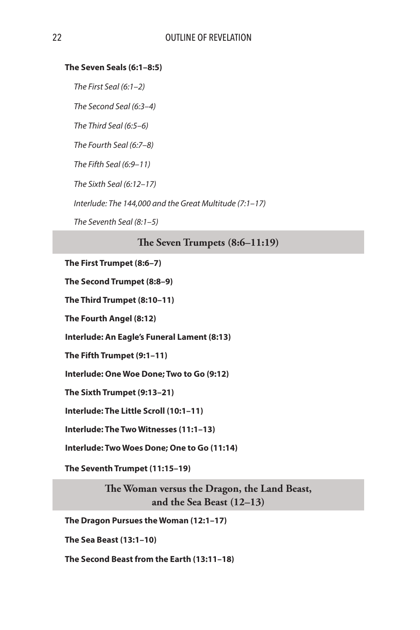#### **The Seven Seals (6:1–8:5)**

 *The First Seal (6:1–2)*

 *The Second Seal (6:3–4)*

 *The Third Seal (6:5–6)*

 *The Fourth Seal (6:7–8)*

 *The Fifth Seal (6:9–11)*

 *The Sixth Seal (6:12–17)*

 *Interlude: The 144,000 and the Great Multitude (7:1–17)*

 *The Seventh Seal (8:1–5)*

#### **The Seven Trumpets (8:6–11:19)**

**The First Trumpet (8:6–7)**

**The Second Trumpet (8:8–9)**

**The Third Trumpet (8:10–11)**

**The Fourth Angel (8:12)**

**Interlude: An Eagle's Funeral Lament (8:13)**

**The Fifth Trumpet (9:1–11)**

**Interlude: One Woe Done; Two to Go (9:12)**

**The Sixth Trumpet (9:13–21)**

**Interlude: The Little Scroll (10:1–11)**

**Interlude: The Two Witnesses (11:1–13)**

**Interlude: Two Woes Done; One to Go (11:14)**

**The Seventh Trumpet (11:15–19)**

**The Woman versus the Dragon, the Land Beast, and the Sea Beast (12–13)**

**The Dragon Pursues the Woman (12:1–17)**

**The Sea Beast (13:1–10)**

**The Second Beast from the Earth (13:11–18)**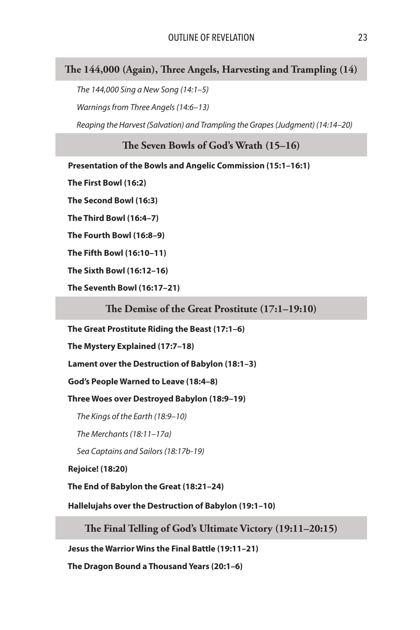#### **The 144,000 (Again), Three Angels, Harvesting and Trampling (14)**

 *The 144,000 Sing a New Song (14:1–5) Warnings from Three Angels (14:6–13)*

 *Reaping the Harvest (Salvation) and Trampling the Grapes (Judgment) (14:14–20)*

**The Seven Bowls of God's Wrath (15–16)**

**Presentation of the Bowls and Angelic Commission (15:1–16:1)**

**The First Bowl (16:2)**

**The Second Bowl (16:3)**

**The Third Bowl (16:4–7)**

**The Fourth Bowl (16:8–9)**

**The Fifth Bowl (16:10–11)**

**The Sixth Bowl (16:12–16)**

**The Seventh Bowl (16:17–21)**

**The Demise of the Great Prostitute (17:1–19:10)**

**The Great Prostitute Riding the Beast (17:1–6)**

**The Mystery Explained (17:7–18)**

**Lament over the Destruction of Babylon (18:1–3)**

**God's People Warned to Leave (18:4–8)**

**Three Woes over Destroyed Babylon (18:9–19)**

 *The Kings of the Earth (18:9–10)*

 *The Merchants (18:11–17a)*

 *Sea Captains and Sailors (18:17b-19)*

**Rejoice! (18:20)**

**The End of Babylon the Great (18:21–24)**

**Hallelujahs over the Destruction of Babylon (19:1–10)**

**The Final Telling of God's Ultimate Victory (19:11–20:15)**

**Jesus the Warrior Wins the Final Battle (19:11–21)**

**The Dragon Bound a Thousand Years (20:1–6)**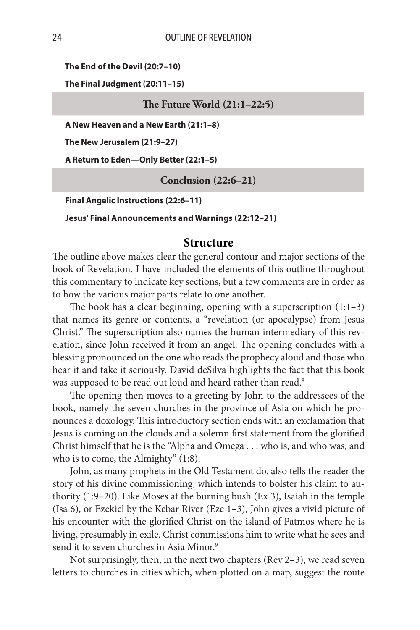**The End of the Devil (20:7–10)**

**The Final Judgment (20:11–15)**

**The Future World (21:1–22:5)**

**A New Heaven and a New Earth (21:1–8)**

**The New Jerusalem (21:9–27)**

**A Return to Eden—Only Better (22:1–5)**

**Conclusion (22:6–21)**

**Final Angelic Instructions (22:6–11)**

**Jesus' Final Announcements and Warnings (22:12–21)**

#### **Structure**

The outline above makes clear the general contour and major sections of the book of Revelation. I have included the elements of this outline throughout this commentary to indicate key sections, but a few comments are in order as to how the various major parts relate to one another.

The book has a clear beginning, opening with a superscription (1:1–3) that names its genre or contents, a "revelation (or apocalypse) from Jesus Christ." The superscription also names the human intermediary of this revelation, since John received it from an angel. The opening concludes with a blessing pronounced on the one who reads the prophecy aloud and those who hear it and take it seriously. David deSilva highlights the fact that this book was supposed to be read out loud and heard rather than read.<sup>8</sup>

The opening then moves to a greeting by John to the addressees of the book, namely the seven churches in the province of Asia on which he pronounces a doxology. This introductory section ends with an exclamation that Jesus is coming on the clouds and a solemn first statement from the glorified Christ himself that he is the "Alpha and Omega . . . who is, and who was, and who is to come, the Almighty" (1:8).

John, as many prophets in the Old Testament do, also tells the reader the story of his divine commissioning, which intends to bolster his claim to authority (1:9–20). Like Moses at the burning bush (Ex 3), Isaiah in the temple (Isa 6), or Ezekiel by the Kebar River (Eze 1–3), John gives a vivid picture of his encounter with the glorified Christ on the island of Patmos where he is living, presumably in exile. Christ commissions him to write what he sees and send it to seven churches in Asia Minor.<sup>9</sup>

Not surprisingly, then, in the next two chapters (Rev 2–3), we read seven letters to churches in cities which, when plotted on a map, suggest the route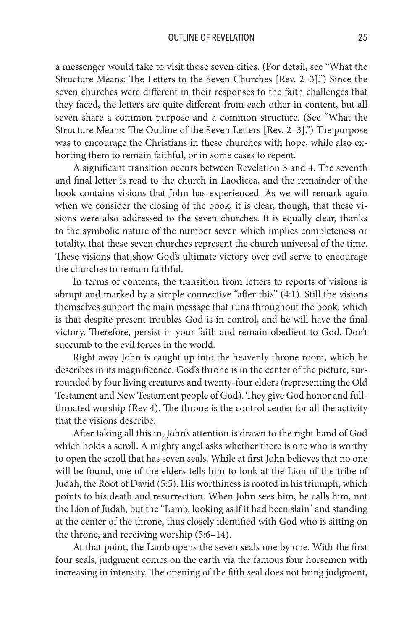a messenger would take to visit those seven cities. (For detail, see "What the Structure Means: The Letters to the Seven Churches [Rev. 2–3].") Since the seven churches were different in their responses to the faith challenges that they faced, the letters are quite different from each other in content, but all seven share a common purpose and a common structure. (See "What the Structure Means: The Outline of the Seven Letters [Rev. 2–3].") The purpose was to encourage the Christians in these churches with hope, while also exhorting them to remain faithful, or in some cases to repent.

A significant transition occurs between Revelation 3 and 4. The seventh and final letter is read to the church in Laodicea, and the remainder of the book contains visions that John has experienced. As we will remark again when we consider the closing of the book, it is clear, though, that these visions were also addressed to the seven churches. It is equally clear, thanks to the symbolic nature of the number seven which implies completeness or totality, that these seven churches represent the church universal of the time. These visions that show God's ultimate victory over evil serve to encourage the churches to remain faithful.

In terms of contents, the transition from letters to reports of visions is abrupt and marked by a simple connective "after this" (4:1). Still the visions themselves support the main message that runs throughout the book, which is that despite present troubles God is in control, and he will have the final victory. Therefore, persist in your faith and remain obedient to God. Don't succumb to the evil forces in the world.

Right away John is caught up into the heavenly throne room, which he describes in its magnificence. God's throne is in the center of the picture, surrounded by four living creatures and twenty-four elders (representing the Old Testament and New Testament people of God). They give God honor and fullthroated worship (Rev 4). The throne is the control center for all the activity that the visions describe.

After taking all this in, John's attention is drawn to the right hand of God which holds a scroll. A mighty angel asks whether there is one who is worthy to open the scroll that has seven seals. While at first John believes that no one will be found, one of the elders tells him to look at the Lion of the tribe of Judah, the Root of David (5:5). His worthiness is rooted in his triumph, which points to his death and resurrection. When John sees him, he calls him, not the Lion of Judah, but the "Lamb, looking as if it had been slain" and standing at the center of the throne, thus closely identified with God who is sitting on the throne, and receiving worship (5:6–14).

At that point, the Lamb opens the seven seals one by one. With the first four seals, judgment comes on the earth via the famous four horsemen with increasing in intensity. The opening of the fifth seal does not bring judgment,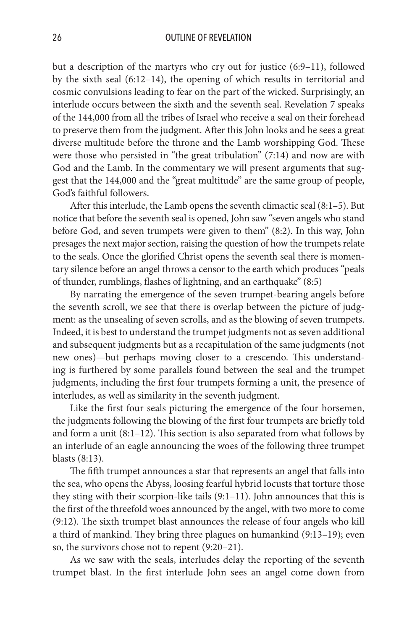but a description of the martyrs who cry out for justice (6:9–11), followed by the sixth seal (6:12–14), the opening of which results in territorial and cosmic convulsions leading to fear on the part of the wicked. Surprisingly, an interlude occurs between the sixth and the seventh seal. Revelation 7 speaks of the 144,000 from all the tribes of Israel who receive a seal on their forehead to preserve them from the judgment. After this John looks and he sees a great diverse multitude before the throne and the Lamb worshipping God. These were those who persisted in "the great tribulation" (7:14) and now are with God and the Lamb. In the commentary we will present arguments that suggest that the 144,000 and the "great multitude" are the same group of people, God's faithful followers.

After this interlude, the Lamb opens the seventh climactic seal (8:1–5). But notice that before the seventh seal is opened, John saw "seven angels who stand before God, and seven trumpets were given to them" (8:2). In this way, John presages the next major section, raising the question of how the trumpets relate to the seals. Once the glorified Christ opens the seventh seal there is momentary silence before an angel throws a censor to the earth which produces "peals of thunder, rumblings, flashes of lightning, and an earthquake" (8:5)

By narrating the emergence of the seven trumpet-bearing angels before the seventh scroll, we see that there is overlap between the picture of judgment: as the unsealing of seven scrolls, and as the blowing of seven trumpets. Indeed, it is best to understand the trumpet judgments not as seven additional and subsequent judgments but as a recapitulation of the same judgments (not new ones)—but perhaps moving closer to a crescendo. This understanding is furthered by some parallels found between the seal and the trumpet judgments, including the first four trumpets forming a unit, the presence of interludes, as well as similarity in the seventh judgment.

Like the first four seals picturing the emergence of the four horsemen, the judgments following the blowing of the first four trumpets are briefly told and form a unit (8:1–12). This section is also separated from what follows by an interlude of an eagle announcing the woes of the following three trumpet blasts (8:13).

The fifth trumpet announces a star that represents an angel that falls into the sea, who opens the Abyss, loosing fearful hybrid locusts that torture those they sting with their scorpion-like tails (9:1–11). John announces that this is the first of the threefold woes announced by the angel, with two more to come (9:12). The sixth trumpet blast announces the release of four angels who kill a third of mankind. They bring three plagues on humankind (9:13–19); even so, the survivors chose not to repent (9:20–21).

As we saw with the seals, interludes delay the reporting of the seventh trumpet blast. In the first interlude John sees an angel come down from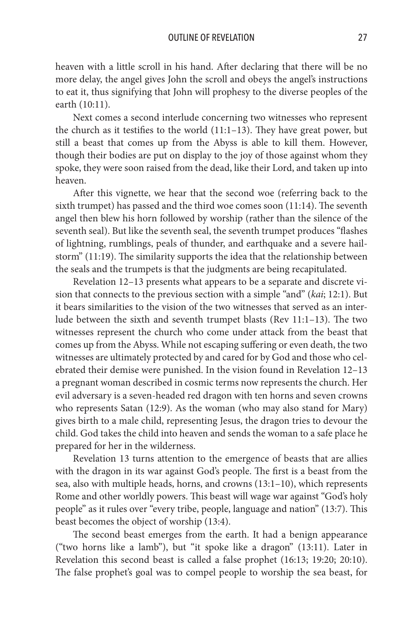heaven with a little scroll in his hand. After declaring that there will be no more delay, the angel gives John the scroll and obeys the angel's instructions to eat it, thus signifying that John will prophesy to the diverse peoples of the earth (10:11).

Next comes a second interlude concerning two witnesses who represent the church as it testifies to the world (11:1–13). They have great power, but still a beast that comes up from the Abyss is able to kill them. However, though their bodies are put on display to the joy of those against whom they spoke, they were soon raised from the dead, like their Lord, and taken up into heaven.

After this vignette, we hear that the second woe (referring back to the sixth trumpet) has passed and the third woe comes soon (11:14). The seventh angel then blew his horn followed by worship (rather than the silence of the seventh seal). But like the seventh seal, the seventh trumpet produces "flashes of lightning, rumblings, peals of thunder, and earthquake and a severe hailstorm" (11:19). The similarity supports the idea that the relationship between the seals and the trumpets is that the judgments are being recapitulated.

Revelation 12–13 presents what appears to be a separate and discrete vision that connects to the previous section with a simple "and" (*kai*; 12:1). But it bears similarities to the vision of the two witnesses that served as an interlude between the sixth and seventh trumpet blasts (Rev 11:1–13). The two witnesses represent the church who come under attack from the beast that comes up from the Abyss. While not escaping suffering or even death, the two witnesses are ultimately protected by and cared for by God and those who celebrated their demise were punished. In the vision found in Revelation 12–13 a pregnant woman described in cosmic terms now represents the church. Her evil adversary is a seven-headed red dragon with ten horns and seven crowns who represents Satan (12:9). As the woman (who may also stand for Mary) gives birth to a male child, representing Jesus, the dragon tries to devour the child. God takes the child into heaven and sends the woman to a safe place he prepared for her in the wilderness.

Revelation 13 turns attention to the emergence of beasts that are allies with the dragon in its war against God's people. The first is a beast from the sea, also with multiple heads, horns, and crowns (13:1–10), which represents Rome and other worldly powers. This beast will wage war against "God's holy people" as it rules over "every tribe, people, language and nation" (13:7). This beast becomes the object of worship (13:4).

The second beast emerges from the earth. It had a benign appearance ("two horns like a lamb"), but "it spoke like a dragon" (13:11). Later in Revelation this second beast is called a false prophet (16:13; 19:20; 20:10). The false prophet's goal was to compel people to worship the sea beast, for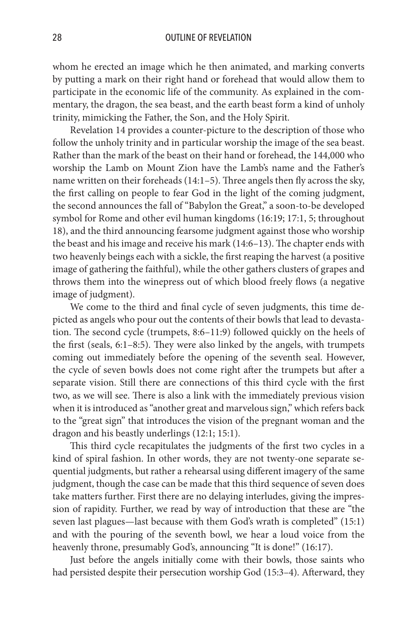whom he erected an image which he then animated, and marking converts by putting a mark on their right hand or forehead that would allow them to participate in the economic life of the community. As explained in the commentary, the dragon, the sea beast, and the earth beast form a kind of unholy trinity, mimicking the Father, the Son, and the Holy Spirit.

Revelation 14 provides a counter-picture to the description of those who follow the unholy trinity and in particular worship the image of the sea beast. Rather than the mark of the beast on their hand or forehead, the 144,000 who worship the Lamb on Mount Zion have the Lamb's name and the Father's name written on their foreheads (14:1–5). Three angels then fly across the sky, the first calling on people to fear God in the light of the coming judgment, the second announces the fall of "Babylon the Great," a soon-to-be developed symbol for Rome and other evil human kingdoms (16:19; 17:1, 5; throughout 18), and the third announcing fearsome judgment against those who worship the beast and his image and receive his mark (14:6–13). The chapter ends with two heavenly beings each with a sickle, the first reaping the harvest (a positive image of gathering the faithful), while the other gathers clusters of grapes and throws them into the winepress out of which blood freely flows (a negative image of judgment).

We come to the third and final cycle of seven judgments, this time depicted as angels who pour out the contents of their bowls that lead to devastation. The second cycle (trumpets, 8:6–11:9) followed quickly on the heels of the first (seals, 6:1–8:5). They were also linked by the angels, with trumpets coming out immediately before the opening of the seventh seal. However, the cycle of seven bowls does not come right after the trumpets but after a separate vision. Still there are connections of this third cycle with the first two, as we will see. There is also a link with the immediately previous vision when it is introduced as "another great and marvelous sign," which refers back to the "great sign" that introduces the vision of the pregnant woman and the dragon and his beastly underlings (12:1; 15:1).

This third cycle recapitulates the judgments of the first two cycles in a kind of spiral fashion. In other words, they are not twenty-one separate sequential judgments, but rather a rehearsal using different imagery of the same judgment, though the case can be made that this third sequence of seven does take matters further. First there are no delaying interludes, giving the impression of rapidity. Further, we read by way of introduction that these are "the seven last plagues—last because with them God's wrath is completed" (15:1) and with the pouring of the seventh bowl, we hear a loud voice from the heavenly throne, presumably God's, announcing "It is done!" (16:17).

Just before the angels initially come with their bowls, those saints who had persisted despite their persecution worship God (15:3–4). Afterward, they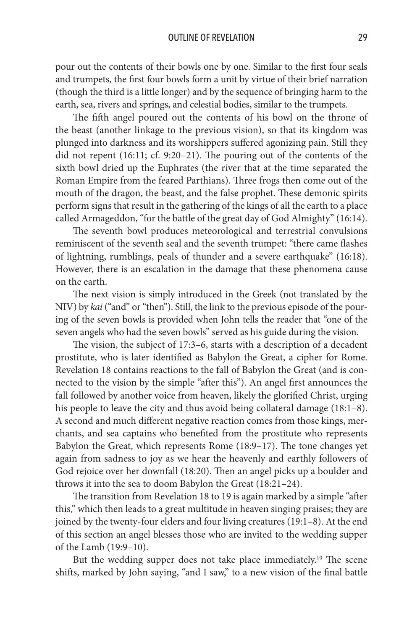pour out the contents of their bowls one by one. Similar to the first four seals and trumpets, the first four bowls form a unit by virtue of their brief narration (though the third is a little longer) and by the sequence of bringing harm to the earth, sea, rivers and springs, and celestial bodies, similar to the trumpets.

The fifth angel poured out the contents of his bowl on the throne of the beast (another linkage to the previous vision), so that its kingdom was plunged into darkness and its worshippers suffered agonizing pain. Still they did not repent (16:11; cf. 9:20–21). The pouring out of the contents of the sixth bowl dried up the Euphrates (the river that at the time separated the Roman Empire from the feared Parthians). Three frogs then come out of the mouth of the dragon, the beast, and the false prophet. These demonic spirits perform signs that result in the gathering of the kings of all the earth to a place called Armageddon, "for the battle of the great day of God Almighty" (16:14).

The seventh bowl produces meteorological and terrestrial convulsions reminiscent of the seventh seal and the seventh trumpet: "there came flashes of lightning, rumblings, peals of thunder and a severe earthquake" (16:18). However, there is an escalation in the damage that these phenomena cause on the earth.

The next vision is simply introduced in the Greek (not translated by the NIV) by *kai* ("and" or "then"). Still, the link to the previous episode of the pouring of the seven bowls is provided when John tells the reader that "one of the seven angels who had the seven bowls" served as his guide during the vision.

The vision, the subject of 17:3–6, starts with a description of a decadent prostitute, who is later identified as Babylon the Great, a cipher for Rome. Revelation 18 contains reactions to the fall of Babylon the Great (and is connected to the vision by the simple "after this"). An angel first announces the fall followed by another voice from heaven, likely the glorified Christ, urging his people to leave the city and thus avoid being collateral damage (18:1–8). A second and much different negative reaction comes from those kings, merchants, and sea captains who benefited from the prostitute who represents Babylon the Great, which represents Rome (18:9–17). The tone changes yet again from sadness to joy as we hear the heavenly and earthly followers of God rejoice over her downfall (18:20). Then an angel picks up a boulder and throws it into the sea to doom Babylon the Great (18:21–24).

The transition from Revelation 18 to 19 is again marked by a simple "after this," which then leads to a great multitude in heaven singing praises; they are joined by the twenty-four elders and four living creatures (19:1–8). At the end of this section an angel blesses those who are invited to the wedding supper of the Lamb (19:9–10).

But the wedding supper does not take place immediately.<sup>10</sup> The scene shifts, marked by John saying, "and I saw," to a new vision of the final battle